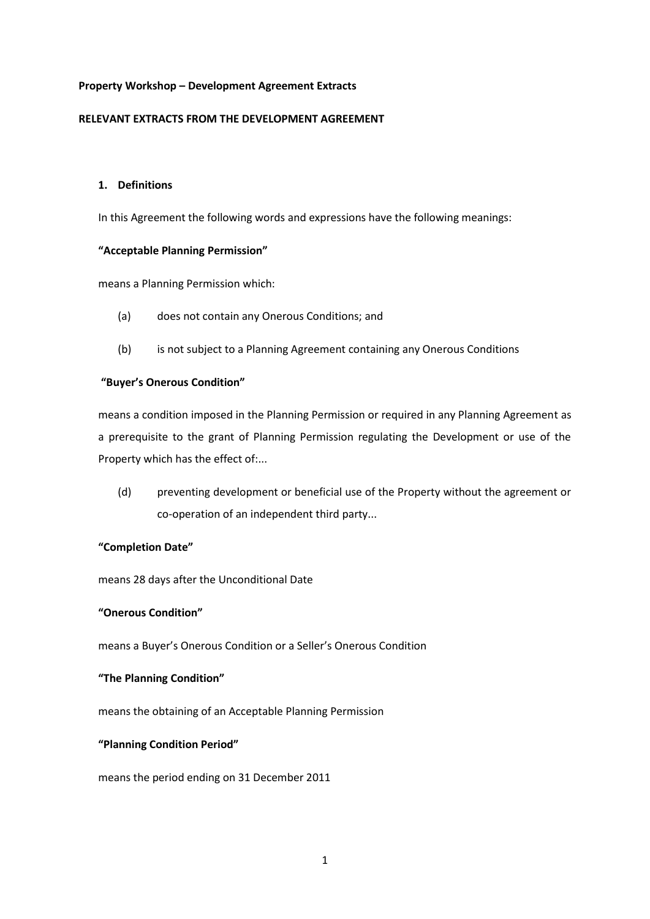## **Property Workshop – Development Agreement Extracts**

## **RELEVANT EXTRACTS FROM THE DEVELOPMENT AGREEMENT**

# **1. Definitions**

In this Agreement the following words and expressions have the following meanings:

## **"Acceptable Planning Permission"**

means a Planning Permission which:

- (a) does not contain any Onerous Conditions; and
- (b) is not subject to a Planning Agreement containing any Onerous Conditions

## **"Buyer's Onerous Condition"**

means a condition imposed in the Planning Permission or required in any Planning Agreement as a prerequisite to the grant of Planning Permission regulating the Development or use of the Property which has the effect of:...

(d) preventing development or beneficial use of the Property without the agreement or co-operation of an independent third party...

## **"Completion Date"**

means 28 days after the Unconditional Date

### **"Onerous Condition"**

means a Buyer's Onerous Condition or a Seller's Onerous Condition

### **"The Planning Condition"**

means the obtaining of an Acceptable Planning Permission

#### **"Planning Condition Period"**

means the period ending on 31 December 2011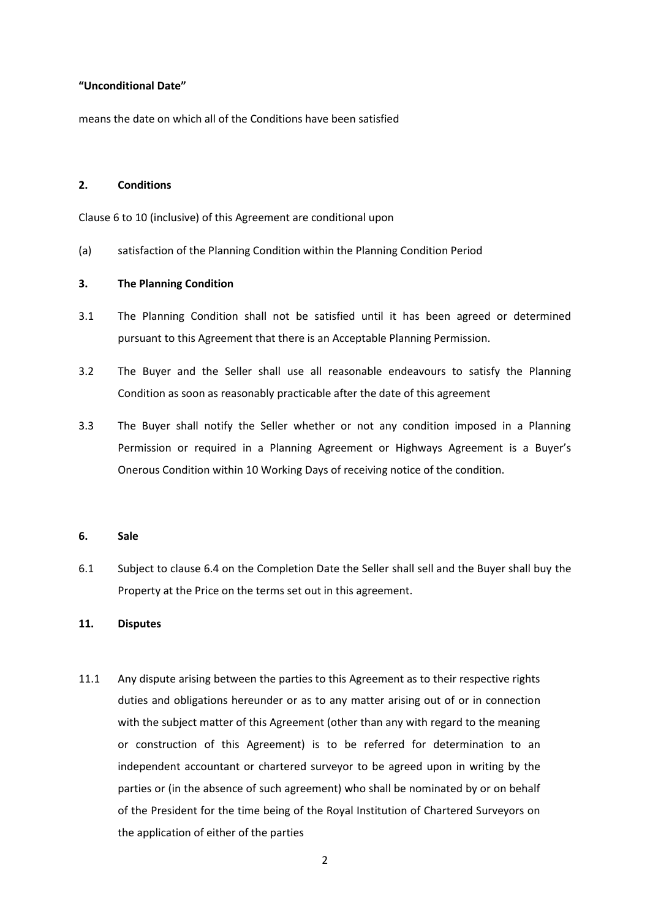## **"Unconditional Date"**

means the date on which all of the Conditions have been satisfied

#### **2. Conditions**

Clause 6 to 10 (inclusive) of this Agreement are conditional upon

(a) satisfaction of the Planning Condition within the Planning Condition Period

# **3. The Planning Condition**

- 3.1 The Planning Condition shall not be satisfied until it has been agreed or determined pursuant to this Agreement that there is an Acceptable Planning Permission.
- 3.2 The Buyer and the Seller shall use all reasonable endeavours to satisfy the Planning Condition as soon as reasonably practicable after the date of this agreement
- 3.3 The Buyer shall notify the Seller whether or not any condition imposed in a Planning Permission or required in a Planning Agreement or Highways Agreement is a Buyer's Onerous Condition within 10 Working Days of receiving notice of the condition.

#### **6. Sale**

6.1 Subject to clause 6.4 on the Completion Date the Seller shall sell and the Buyer shall buy the Property at the Price on the terms set out in this agreement.

#### **11. Disputes**

11.1 Any dispute arising between the parties to this Agreement as to their respective rights duties and obligations hereunder or as to any matter arising out of or in connection with the subject matter of this Agreement (other than any with regard to the meaning or construction of this Agreement) is to be referred for determination to an independent accountant or chartered surveyor to be agreed upon in writing by the parties or (in the absence of such agreement) who shall be nominated by or on behalf of the President for the time being of the Royal Institution of Chartered Surveyors on the application of either of the parties